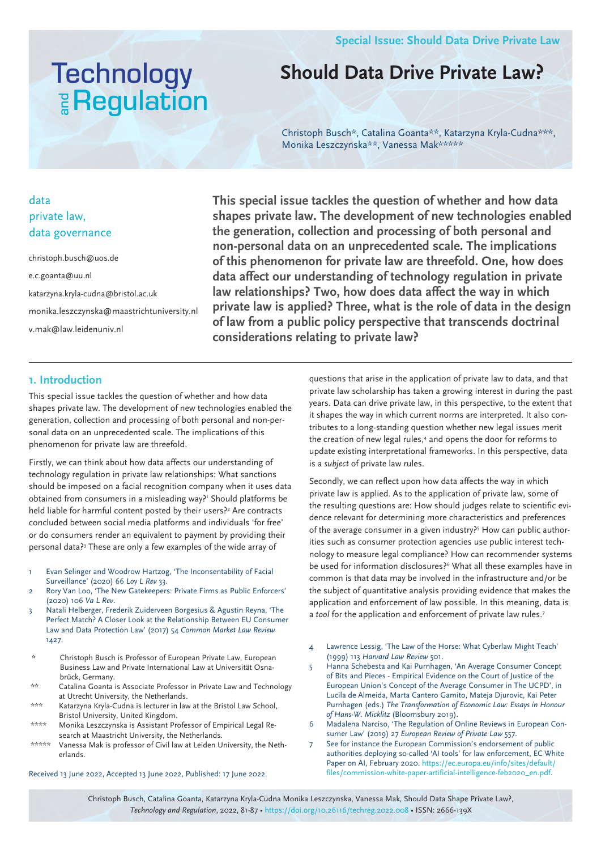# **Technology E** Regulation

### **Should Data Drive Private Law?**

Christoph Busch\*, Catalina Goanta\*\*, Katarzyna Kryla-Cudna\*\*\*, Monika Leszczynska\*\*, Vanessa Mak\*\*\*\*\*

#### data private law, data governance

christoph.busch@uos.de e.c.goanta@uu.nl katarzyna.kryla-cudna@bristol.ac.uk monika.leszczynska@maastrichtuniversity.nl v.mak@law.leidenuniv.nl

**This special issue tackles the question of whether and how data shapes private law. The development of new technologies enabled the generation, collection and processing of both personal and non-personal data on an unprecedented scale. The implications of this phenomenon for private law are threefold. One, how does data affect our understanding of technology regulation in private law relationships? Two, how does data affect the way in which private law is applied? Three, what is the role of data in the design of law from a public policy perspective that transcends doctrinal considerations relating to private law?**

#### **1. Introduction**

This special issue tackles the question of whether and how data shapes private law. The development of new technologies enabled the generation, collection and processing of both personal and non-personal data on an unprecedented scale. The implications of this phenomenon for private law are threefold.

Firstly, we can think about how data affects our understanding of technology regulation in private law relationships: What sanctions should be imposed on a facial recognition company when it uses data obtained from consumers in a misleading way?' Should platforms be held liable for harmful content posted by their users?<sup>2</sup> Are contracts concluded between social media platforms and individuals 'for free' or do consumers render an equivalent to payment by providing their personal data?<sup>3</sup> These are only a few examples of the wide array of

- 1 Evan Selinger and Woodrow Hartzog, 'The Inconsentability of Facial Surveillance' (2020) 66 *Loy L Rev* 33.
- 2 Rory Van Loo, 'The New Gatekeepers: Private Firms as Public Enforcers' (2020) 106 *Va L Rev*.
- 3 Natali Helberger, Frederik Zuiderveen Borgesius & Agustin Reyna, 'The Perfect Match? A Closer Look at the Relationship Between EU Consumer Law and Data Protection Law' (2017) 54 *Common Market Law Review*  1427.
- \* Christoph Busch is Professor of European Private Law, European Business Law and Private International Law at Universität Osnabrück, Germany.
- \*\* Catalina Goanta is Associate Professor in Private Law and Technology at Utrecht University, the Netherlands.
- \*\*\* Katarzyna Kryla-Cudna is lecturer in law at the Bristol Law School, Bristol University, United Kingdom.
- \*\*\*\* Monika Leszczynska is Assistant Professor of Empirical Legal Research at Maastricht University, the Netherlands.
- \*\*\*\*\* Vanessa Mak is professor of Civil law at Leiden University, the Netherlands.

Received 13 June 2022, Accepted 13 June 2022, Published: 17 June 2022.

questions that arise in the application of private law to data, and that private law scholarship has taken a growing interest in during the past years. Data can drive private law, in this perspective, to the extent that it shapes the way in which current norms are interpreted. It also contributes to a long-standing question whether new legal issues merit the creation of new legal rules,<sup>4</sup> and opens the door for reforms to update existing interpretational frameworks. In this perspective, data is a *subject* of private law rules.

Secondly, we can reflect upon how data affects the way in which private law is applied. As to the application of private law, some of the resulting questions are: How should judges relate to scientific evidence relevant for determining more characteristics and preferences of the average consumer in a given industry?<sup>5</sup> How can public authorities such as consumer protection agencies use public interest technology to measure legal compliance? How can recommender systems be used for information disclosures?<sup>6</sup> What all these examples have in common is that data may be involved in the infrastructure and/or be the subject of quantitative analysis providing evidence that makes the application and enforcement of law possible. In this meaning, data is a *tool* for the application and enforcement of private law rules.7

- 4 Lawrence Lessig, 'The Law of the Horse: What Cyberlaw Might Teach' (1999) 113 *Harvard Law Review* 501.
- 5 Hanna Schebesta and Kai Purnhagen, 'An Average Consumer Concept of Bits and Pieces - Empirical Evidence on the Court of Justice of the European Union's Concept of the Average Consumer in The UCPD', in Lucila de Almeida, Marta Cantero Gamito, Mateja Djurovic, Kai Peter Purnhagen (eds.) *The Transformation of Economic Law: Essays in Honour of Hans-W. Micklitz* (Bloomsbury 2019).
- 6 Madalena Narciso, 'The Regulation of Online Reviews in European Consumer Law' (2019) 27 *European Review of Private Law* 557.
- 7 See for instance the European Commission's endorsement of public authorities deploying so-called 'AI tools' for law enforcement, EC White Paper on AI, February 2020. https://ec.europa.eu/info/sites/default/ files/commission-white-paper-artificial-intelligence-feb2020\_en.pdf.

Christoph Busch, Catalina Goanta, Katarzyna Kryla-Cudna Monika Leszczynska, Vanessa Mak, Should Data Shape Private Law?, *Technology and Regulation*, 2022, 81-87 • https://doi.org/10.26116/techreg.2022.008 • ISSN: 2666-139X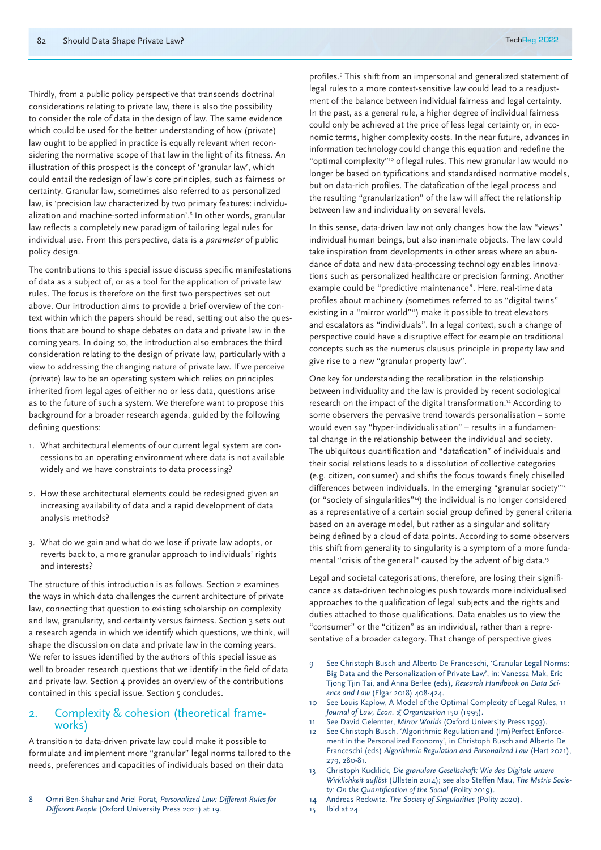Thirdly, from a public policy perspective that transcends doctrinal considerations relating to private law, there is also the possibility to consider the role of data in the design of law. The same evidence which could be used for the better understanding of how (private) law ought to be applied in practice is equally relevant when reconsidering the normative scope of that law in the light of its fitness. An illustration of this prospect is the concept of 'granular law', which could entail the redesign of law's core principles, such as fairness or certainty. Granular law, sometimes also referred to as personalized law, is 'precision law characterized by two primary features: individualization and machine-sorted information'.8 In other words, granular law reflects a completely new paradigm of tailoring legal rules for individual use. From this perspective, data is a *parameter* of public policy design.

The contributions to this special issue discuss specific manifestations of data as a subject of, or as a tool for the application of private law rules. The focus is therefore on the first two perspectives set out above. Our introduction aims to provide a brief overview of the context within which the papers should be read, setting out also the questions that are bound to shape debates on data and private law in the coming years. In doing so, the introduction also embraces the third consideration relating to the design of private law, particularly with a view to addressing the changing nature of private law. If we perceive (private) law to be an operating system which relies on principles inherited from legal ages of either no or less data, questions arise as to the future of such a system. We therefore want to propose this background for a broader research agenda, guided by the following defining questions:

- 1. What architectural elements of our current legal system are concessions to an operating environment where data is not available widely and we have constraints to data processing?
- 2. How these architectural elements could be redesigned given an increasing availability of data and a rapid development of data analysis methods?
- 3. What do we gain and what do we lose if private law adopts, or reverts back to, a more granular approach to individuals' rights and interests?

The structure of this introduction is as follows. Section 2 examines the ways in which data challenges the current architecture of private law, connecting that question to existing scholarship on complexity and law, granularity, and certainty versus fairness. Section 3 sets out a research agenda in which we identify which questions, we think, will shape the discussion on data and private law in the coming years. We refer to issues identified by the authors of this special issue as well to broader research questions that we identify in the field of data and private law. Section 4 provides an overview of the contributions contained in this special issue. Section 5 concludes.

## 2. Complexity & cohesion (theoretical frame- works)

A transition to data-driven private law could make it possible to formulate and implement more "granular" legal norms tailored to the needs, preferences and capacities of individuals based on their data

profiles.9 This shift from an impersonal and generalized statement of legal rules to a more context-sensitive law could lead to a readjustment of the balance between individual fairness and legal certainty. In the past, as a general rule, a higher degree of individual fairness could only be achieved at the price of less legal certainty or, in economic terms, higher complexity costs. In the near future, advances in information technology could change this equation and redefine the "optimal complexity"10 of legal rules. This new granular law would no longer be based on typifications and standardised normative models, but on data-rich profiles. The datafication of the legal process and the resulting "granularization" of the law will affect the relationship between law and individuality on several levels.

In this sense, data-driven law not only changes how the law "views" individual human beings, but also inanimate objects. The law could take inspiration from developments in other areas where an abundance of data and new data-processing technology enables innovations such as personalized healthcare or precision farming. Another example could be "predictive maintenance". Here, real-time data profiles about machinery (sometimes referred to as "digital twins" existing in a "mirror world"11) make it possible to treat elevators and escalators as "individuals". In a legal context, such a change of perspective could have a disruptive effect for example on traditional concepts such as the numerus clausus principle in property law and give rise to a new "granular property law".

One key for understanding the recalibration in the relationship between individuality and the law is provided by recent sociological research on the impact of the digital transformation.12 According to some observers the pervasive trend towards personalisation – some would even say "hyper-individualisation" – results in a fundamental change in the relationship between the individual and society. The ubiquitous quantification and "datafication" of individuals and their social relations leads to a dissolution of collective categories (e.g. citizen, consumer) and shifts the focus towards finely chiselled differences between individuals. In the emerging "granular society"<sup>3</sup> (or "society of singularities"14) the individual is no longer considered as a representative of a certain social group defined by general criteria based on an average model, but rather as a singular and solitary being defined by a cloud of data points. According to some observers this shift from generality to singularity is a symptom of a more fundamental "crisis of the general" caused by the advent of big data.15

Legal and societal categorisations, therefore, are losing their significance as data-driven technologies push towards more individualised approaches to the qualification of legal subjects and the rights and duties attached to those qualifications. Data enables us to view the "consumer" or the "citizen" as an individual, rather than a representative of a broader category. That change of perspective gives

- 9 See Christoph Busch and Alberto De Franceschi, 'Granular Legal Norms: Big Data and the Personalization of Private Law', in: Vanessa Mak, Eric Tjong Tjin Tai, and Anna Berlee (eds), *Research Handbook on Data Science and Law* (Elgar 2018) 408-424.
- 10 See Louis Kaplow, A Model of the Optimal Complexity of Legal Rules, 11 *Journal of Law, Econ. & Organization* 150 (1995).
- 11 See David Gelernter, *Mirror Worlds* (Oxford University Press 1993).
- 12 See Christoph Busch, 'Algorithmic Regulation and (Im)Perfect Enforcement in the Personalized Economy', in Christoph Busch and Alberto De Franceschi (eds) *Algorithmic Regulation and Personalized Law* (Hart 2021), 279, 280-81.
- 13 Christoph Kucklick, *Die granulare Gesellschaft: Wie das Digitale unsere Wirklichkeit auflöst* (Ullstein 2014); see also Steffen Mau, *The Metric Society: On the Quantification of the Social* (Polity 2019).
- 14 Andreas Reckwitz, *The Society of Singularities* (Polity 2020).
- 15 Ibid at 24.

<sup>8</sup> Omri Ben-Shahar and Ariel Porat, *Personalized Law: Different Rules for Different People* (Oxford University Press 2021) at 19.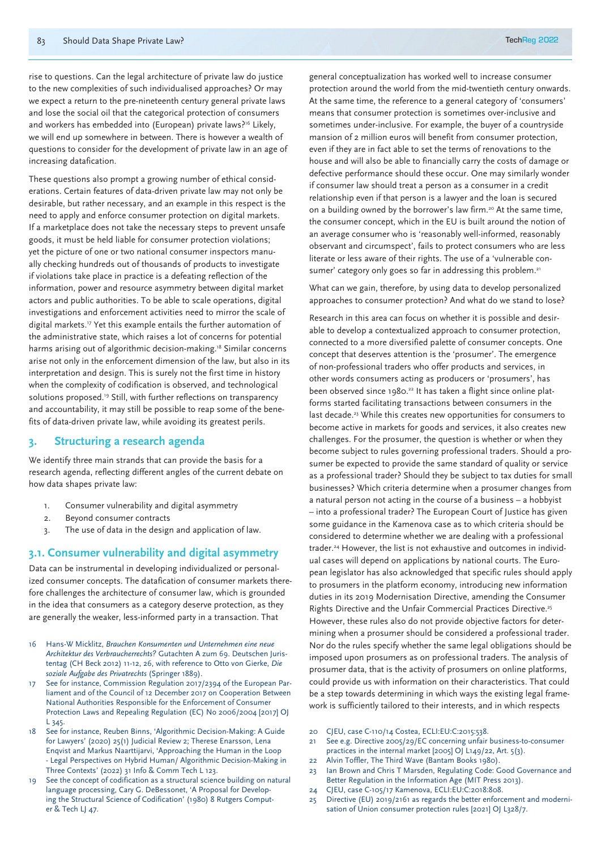rise to questions. Can the legal architecture of private law do justice to the new complexities of such individualised approaches? Or may we expect a return to the pre-nineteenth century general private laws and lose the social oil that the categorical protection of consumers and workers has embedded into (European) private laws?<sup>16</sup> Likely, we will end up somewhere in between. There is however a wealth of questions to consider for the development of private law in an age of increasing datafication.

These questions also prompt a growing number of ethical considerations. Certain features of data-driven private law may not only be desirable, but rather necessary, and an example in this respect is the need to apply and enforce consumer protection on digital markets. If a marketplace does not take the necessary steps to prevent unsafe goods, it must be held liable for consumer protection violations; yet the picture of one or two national consumer inspectors manually checking hundreds out of thousands of products to investigate if violations take place in practice is a defeating reflection of the information, power and resource asymmetry between digital market actors and public authorities. To be able to scale operations, digital investigations and enforcement activities need to mirror the scale of digital markets.<sup>17</sup> Yet this example entails the further automation of the administrative state, which raises a lot of concerns for potential harms arising out of algorithmic decision-making.<sup>18</sup> Similar concerns arise not only in the enforcement dimension of the law, but also in its interpretation and design. This is surely not the first time in history when the complexity of codification is observed, and technological solutions proposed.<sup>19</sup> Still, with further reflections on transparency and accountability, it may still be possible to reap some of the benefits of data-driven private law, while avoiding its greatest perils.

#### **3. Structuring a research agenda**

We identify three main strands that can provide the basis for a research agenda, reflecting different angles of the current debate on how data shapes private law:

- 1. Consumer vulnerability and digital asymmetry
- 2. Beyond consumer contracts
- 3. The use of data in the design and application of law.

#### **3.1. Consumer vulnerability and digital asymmetry**

Data can be instrumental in developing individualized or personalized consumer concepts. The datafication of consumer markets therefore challenges the architecture of consumer law, which is grounded in the idea that consumers as a category deserve protection, as they are generally the weaker, less-informed party in a transaction. That

- 16 Hans-W Micklitz, *Brauchen Konsumenten und Unternehmen eine neue Architektur des Verbraucherrechts?* Gutachten A zum 69. Deutschen Juristentag (CH Beck 2012) 11-12, 26, with reference to Otto von Gierke, *Die soziale Aufgabe des Privatrechts* (Springer 1889).
- 17 See for instance, Commission Regulation 2017/2394 of the European Parliament and of the Council of 12 December 2017 on Cooperation Between National Authorities Responsible for the Enforcement of Consumer Protection Laws and Repealing Regulation (EC) No 2006/2004 [2017] OJ L 345.
- 18 See for instance, Reuben Binns, 'Algorithmic Decision-Making: A Guide for Lawyers' (2020) 25(1) Judicial Review 2; Therese Enarsson, Lena Enqvist and Markus Naarttijarvi, 'Approaching the Human in the Loop - Legal Perspectives on Hybrid Human/ Algorithmic Decision-Making in Three Contexts' (2022) 31 Info & Comm Tech L 123.
- See the concept of codification as a structural science building on natural language processing, Cary G. DeBessonet, 'A Proposal for Developing the Structural Science of Codification' (1980) 8 Rutgers Computer & Tech LJ 47.

general conceptualization has worked well to increase consumer protection around the world from the mid-twentieth century onwards. At the same time, the reference to a general category of 'consumers' means that consumer protection is sometimes over-inclusive and sometimes under-inclusive. For example, the buyer of a countryside mansion of 2 million euros will benefit from consumer protection, even if they are in fact able to set the terms of renovations to the house and will also be able to financially carry the costs of damage or defective performance should these occur. One may similarly wonder if consumer law should treat a person as a consumer in a credit relationship even if that person is a lawyer and the loan is secured on a building owned by the borrower's law firm.<sup>20</sup> At the same time, the consumer concept, which in the EU is built around the notion of an average consumer who is 'reasonably well-informed, reasonably observant and circumspect', fails to protect consumers who are less literate or less aware of their rights. The use of a 'vulnerable consumer' category only goes so far in addressing this problem.<sup>21</sup>

What can we gain, therefore, by using data to develop personalized approaches to consumer protection? And what do we stand to lose?

Research in this area can focus on whether it is possible and desirable to develop a contextualized approach to consumer protection, connected to a more diversified palette of consumer concepts. One concept that deserves attention is the 'prosumer'. The emergence of non-professional traders who offer products and services, in other words consumers acting as producers or 'prosumers', has been observed since 1980.<sup>22</sup> It has taken a flight since online platforms started facilitating transactions between consumers in the last decade.<sup>23</sup> While this creates new opportunities for consumers to become active in markets for goods and services, it also creates new challenges. For the prosumer, the question is whether or when they become subject to rules governing professional traders. Should a prosumer be expected to provide the same standard of quality or service as a professional trader? Should they be subject to tax duties for small businesses? Which criteria determine when a prosumer changes from a natural person not acting in the course of a business – a hobbyist – into a professional trader? The European Court of Justice has given some guidance in the Kamenova case as to which criteria should be considered to determine whether we are dealing with a professional trader.24 However, the list is not exhaustive and outcomes in individual cases will depend on applications by national courts. The European legislator has also acknowledged that specific rules should apply to prosumers in the platform economy, introducing new information duties in its 2019 Modernisation Directive, amending the Consumer Rights Directive and the Unfair Commercial Practices Directive.25 However, these rules also do not provide objective factors for determining when a prosumer should be considered a professional trader. Nor do the rules specify whether the same legal obligations should be imposed upon prosumers as on professional traders. The analysis of prosumer data, that is the activity of prosumers on online platforms, could provide us with information on their characteristics. That could be a step towards determining in which ways the existing legal framework is sufficiently tailored to their interests, and in which respects

- 20 CJEU, case C-110/14 Costea, ECLI:EU:C:2015:538.
- 21 See e.g. Directive 2005/29/EC concerning unfair business-to-consumer practices in the internal market [2005] OJ L149/22, Art. 5(3).
- 22 Alvin Toffler, The Third Wave (Bantam Books 1980).
- 23 Ian Brown and Chris T Marsden, Regulating Code: Good Governance and Better Regulation in the Information Age (MIT Press 2013).
- 24 CJEU, case C-105/17 Kamenova, ECLI:EU:C:2018:808.
- 25 Directive (EU) 2019/2161 as regards the better enforcement and modernisation of Union consumer protection rules [2021] OJ L328/7.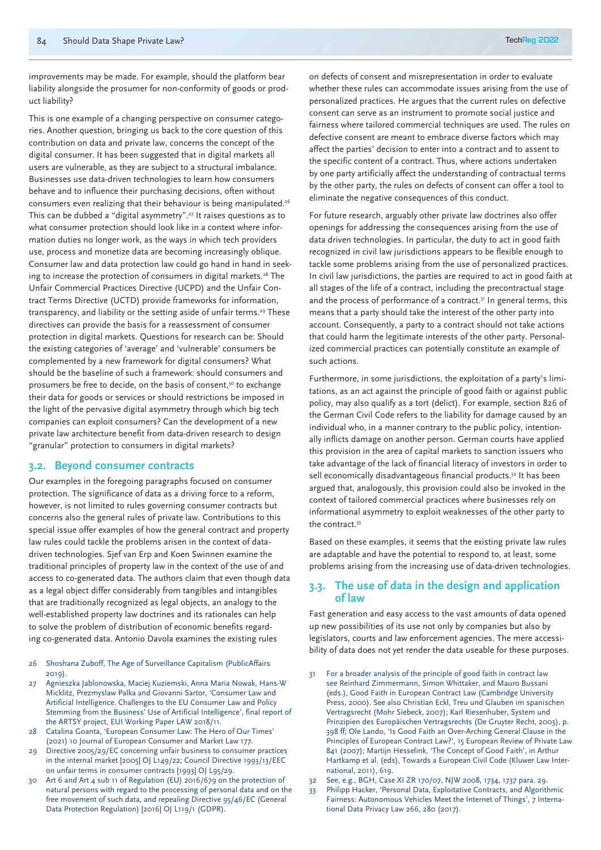improvements may be made. For example, should the platform bear liability alongside the prosumer for non-conformity of goods or product liability?

This is one example of a changing perspective on consumer categories. Another question, bringing us back to the core question of this contribution on data and private law, concerns the concept of the digital consumer. It has been suggested that in digital markets all users are vulnerable, as they are subject to a structural imbalance. Businesses use data-driven technologies to learn how consumers behave and to influence their purchasing decisions, often without consumers even realizing that their behaviour is being manipulated.26 This can be dubbed a "digital asymmetry".<sup>27</sup> It raises questions as to what consumer protection should look like in a context where information duties no longer work, as the ways in which tech providers use, process and monetize data are becoming increasingly oblique. Consumer law and data protection law could go hand in hand in seeking to increase the protection of consumers in digital markets.<sup>28</sup> The Unfair Commercial Practices Directive (UCPD) and the Unfair Contract Terms Directive (UCTD) provide frameworks for information, transparency, and liability or the setting aside of unfair terms.<sup>29</sup> These directives can provide the basis for a reassessment of consumer protection in digital markets. Questions for research can be: Should the existing categories of 'average' and 'vulnerable' consumers be complemented by a new framework for digital consumers? What should be the baseline of such a framework: should consumers and prosumers be free to decide, on the basis of consent,<sup>30</sup> to exchange their data for goods or services or should restrictions be imposed in the light of the pervasive digital asymmetry through which big tech companies can exploit consumers? Can the development of a new private law architecture benefit from data-driven research to design "granular" protection to consumers in digital markets?

#### **3.2. Beyond consumer contracts**

Our examples in the foregoing paragraphs focused on consumer protection. The significance of data as a driving force to a reform, however, is not limited to rules governing consumer contracts but concerns also the general rules of private law. Contributions to this special issue offer examples of how the general contract and property law rules could tackle the problems arisen in the context of datadriven technologies. Sjef van Erp and Koen Swinnen examine the traditional principles of property law in the context of the use of and access to co-generated data. The authors claim that even though data as a legal object differ considerably from tangibles and intangibles that are traditionally recognized as legal objects, an analogy to the well-established property law doctrines and its rationales can help to solve the problem of distribution of economic benefits regarding co-generated data. Antonio Davola examines the existing rules

- 26 Shoshana Zuboff, The Age of Surveillance Capitalism (PublicAffairs 2019).
- 27 Agnieszka Jablonowska, Maciej Kuziemski, Anna Maria Nowak, Hans-W Micklitz, Prezmyslaw Palka and Giovanni Sartor, 'Consumer Law and Artificial Intelligence. Challenges to the EU Consumer Law and Policy Stemming from the Business' Use of Artificial Intelligence', final report of the ARTSY project, EUI Working Paper LAW 2018/11.
- 28 Catalina Goanta, 'European Consumer Law: The Hero of Our Times' (2021) 10 Journal of European Consumer and Market Law 177.
- 29 Directive 2005/29/EC concerning unfair business to consumer practices in the internal market [2005] OJ L149/22; Council Directive 1993/13/EEC on unfair terms in consumer contracts [1993] OJ L95/29.
- 30 Art 6 and Art 4 sub 11 of Regulation (EU) 2016/679 on the protection of natural persons with regard to the processing of personal data and on the free movement of such data, and repealing Directive 95/46/EC (General Data Protection Regulation) [2016] OJ L119/1 (GDPR).

on defects of consent and misrepresentation in order to evaluate whether these rules can accommodate issues arising from the use of personalized practices. He argues that the current rules on defective consent can serve as an instrument to promote social justice and fairness where tailored commercial techniques are used. The rules on defective consent are meant to embrace diverse factors which may affect the parties' decision to enter into a contract and to assent to the specific content of a contract. Thus, where actions undertaken by one party artificially affect the understanding of contractual terms by the other party, the rules on defects of consent can offer a tool to eliminate the negative consequences of this conduct.

For future research, arguably other private law doctrines also offer openings for addressing the consequences arising from the use of data driven technologies. In particular, the duty to act in good faith recognized in civil law jurisdictions appears to be flexible enough to tackle some problems arising from the use of personalized practices. In civil law jurisdictions, the parties are required to act in good faith at all stages of the life of a contract, including the precontractual stage and the process of performance of a contract.<sup>31</sup> In general terms, this means that a party should take the interest of the other party into account. Consequently, a party to a contract should not take actions that could harm the legitimate interests of the other party. Personalized commercial practices can potentially constitute an example of such actions.

Furthermore, in some jurisdictions, the exploitation of a party's limitations, as an act against the principle of good faith or against public policy, may also qualify as a tort (delict). For example, section 826 of the German Civil Code refers to the liability for damage caused by an individual who, in a manner contrary to the public policy, intentionally inflicts damage on another person. German courts have applied this provision in the area of capital markets to sanction issuers who take advantage of the lack of financial literacy of investors in order to sell economically disadvantageous financial products.<sup>32</sup> It has been argued that, analogously, this provision could also be invoked in the context of tailored commercial practices where businesses rely on informational asymmetry to exploit weaknesses of the other party to the contract.<sup>33</sup>

Based on these examples, it seems that the existing private law rules are adaptable and have the potential to respond to, at least, some problems arising from the increasing use of data-driven technologies.

#### **3.3. The use of data in the design and application of law**

Fast generation and easy access to the vast amounts of data opened up new possibilities of its use not only by companies but also by legislators, courts and law enforcement agencies. The mere accessibility of data does not yet render the data useable for these purposes.

- For a broader analysis of the principle of good faith in contract law see Reinhard Zimmermann, Simon Whittaker, and Mauro Bussani (eds.), Good Faith in European Contract Law (Cambridge University Press, 2000). See also Christian Eckl, Treu und Glauben im spanischen Vertragsrecht (Mohr Siebeck, 2007); Karl Riesenhuber, System und Prinzipien des Europäischen Vertragsrechts (De Gruyter Recht, 2003), p. 398 ff; Ole Lando, 'Is Good Faith an Over-Arching General Clause in the Principles of European Contract Law?', 15 European Review of Private Law 841 (2007); Martijn Hesselink, 'The Concept of Good Faith', in Arthur Hartkamp et al. (eds), Towards a European Civil Code (Kluwer Law International, 2011), 619.
- 32 See, e.g., BGH, Case XI ZR 170/07, NJW 2008, 1734, 1737 para. 29.
- 33 Philipp Hacker, 'Personal Data, Exploitative Contracts, and Algorithmic Fairness: Autonomous Vehicles Meet the Internet of Things', 7 International Data Privacy Law 266, 280 (2017).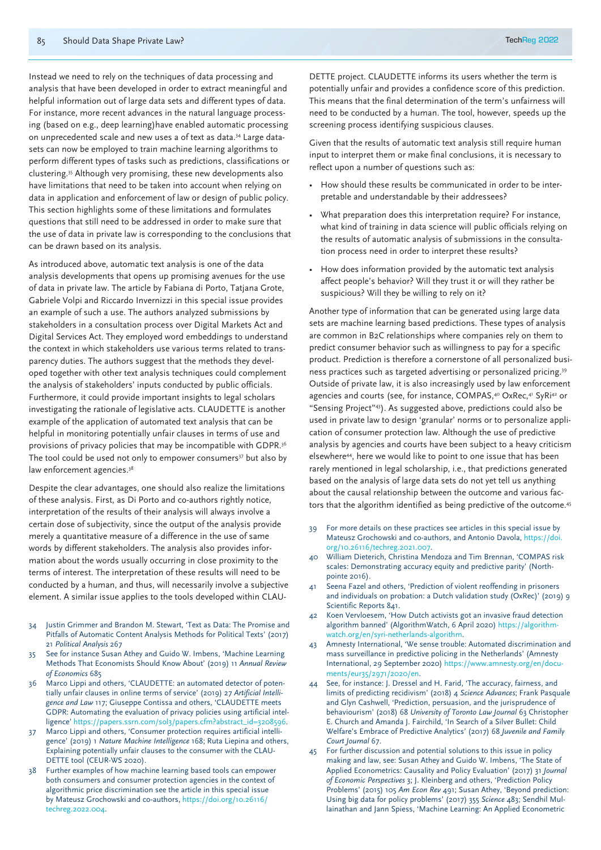Instead we need to rely on the techniques of data processing and analysis that have been developed in order to extract meaningful and helpful information out of large data sets and different types of data. For instance, more recent advances in the natural language processing (based on e.g., deep learning)have enabled automatic processing on unprecedented scale and new uses a of text as data.<sup>34</sup> Large datasets can now be employed to train machine learning algorithms to perform different types of tasks such as predictions, classifications or clustering.35 Although very promising, these new developments also have limitations that need to be taken into account when relying on data in application and enforcement of law or design of public policy. This section highlights some of these limitations and formulates questions that still need to be addressed in order to make sure that the use of data in private law is corresponding to the conclusions that can be drawn based on its analysis.

As introduced above, automatic text analysis is one of the data analysis developments that opens up promising avenues for the use of data in private law. The article by Fabiana di Porto, Tatjana Grote, Gabriele Volpi and Riccardo Invernizzi in this special issue provides an example of such a use. The authors analyzed submissions by stakeholders in a consultation process over Digital Markets Act and Digital Services Act. They employed word embeddings to understand the context in which stakeholders use various terms related to transparency duties. The authors suggest that the methods they developed together with other text analysis techniques could complement the analysis of stakeholders' inputs conducted by public officials. Furthermore, it could provide important insights to legal scholars investigating the rationale of legislative acts. CLAUDETTE is another example of the application of automated text analysis that can be helpful in monitoring potentially unfair clauses in terms of use and provisions of privacy policies that may be incompatible with GDPR.36 The tool could be used not only to empower consumers<sup>37</sup> but also by law enforcement agencies.<sup>38</sup>

Despite the clear advantages, one should also realize the limitations of these analysis. First, as Di Porto and co-authors rightly notice, interpretation of the results of their analysis will always involve a certain dose of subjectivity, since the output of the analysis provide merely a quantitative measure of a difference in the use of same words by different stakeholders. The analysis also provides information about the words usually occurring in close proximity to the terms of interest. The interpretation of these results will need to be conducted by a human, and thus, will necessarily involve a subjective element. A similar issue applies to the tools developed within CLAU-

- 34 Justin Grimmer and Brandon M. Stewart, 'Text as Data: The Promise and Pitfalls of Automatic Content Analysis Methods for Political Texts' (2017) 21 *Political Analysis* 267
- 35 See for instance Susan Athey and Guido W. Imbens, 'Machine Learning Methods That Economists Should Know About' (2019) 11 *Annual Review of Economics* 685
- 36 Marco Lippi and others, 'CLAUDETTE: an automated detector of potentially unfair clauses in online terms of service' (2019) 27 *Artificial Intelligence and Law* 117; Giuseppe Contissa and others, 'CLAUDETTE meets GDPR: Automating the evaluation of privacy policies using artificial intelligence' https://papers.ssrn.com/sol3/papers.cfm?abstract\_id=3208596.
- 37 Marco Lippi and others, 'Consumer protection requires artificial intelligence' (2019) 1 *Nature Machine Intelligence* 168; Ruta Liepina and others, Explaining potentially unfair clauses to the consumer with the CLAU-DETTE tool (CEUR-WS 2020).
- Further examples of how machine learning based tools can empower both consumers and consumer protection agencies in the context of algorithmic price discrimination see the article in this special issue by Mateusz Grochowski and co-authors, https://doi.org/10.26116/ techreg.2022.004.

DETTE project. CLAUDETTE informs its users whether the term is potentially unfair and provides a confidence score of this prediction. This means that the final determination of the term's unfairness will need to be conducted by a human. The tool, however, speeds up the screening process identifying suspicious clauses.

Given that the results of automatic text analysis still require human input to interpret them or make final conclusions, it is necessary to reflect upon a number of questions such as:

- How should these results be communicated in order to be interpretable and understandable by their addressees?
- What preparation does this interpretation require? For instance, what kind of training in data science will public officials relying on the results of automatic analysis of submissions in the consultation process need in order to interpret these results?
- How does information provided by the automatic text analysis affect people's behavior? Will they trust it or will they rather be suspicious? Will they be willing to rely on it?

Another type of information that can be generated using large data sets are machine learning based predictions. These types of analysis are common in B2C relationships where companies rely on them to predict consumer behavior such as willingness to pay for a specific product. Prediction is therefore a cornerstone of all personalized business practices such as targeted advertising or personalized pricing.39 Outside of private law, it is also increasingly used by law enforcement agencies and courts (see, for instance, COMPAS,<sup>40</sup> OxRec,<sup>41</sup> SyRi<sup>42</sup> or "Sensing Project"43). As suggested above, predictions could also be used in private law to design 'granular' norms or to personalize application of consumer protection law. Although the use of predictive analysis by agencies and courts have been subject to a heavy criticism elsewhere<sup>44</sup>, here we would like to point to one issue that has been rarely mentioned in legal scholarship, i.e., that predictions generated based on the analysis of large data sets do not yet tell us anything about the causal relationship between the outcome and various factors that the algorithm identified as being predictive of the outcome.45

- 39 For more details on these practices see articles in this special issue by Mateusz Grochowski and co-authors, and Antonio Davola, https://doi. org/10.26116/techreg.2021.007.
- 40 William Dieterich, Christina Mendoza and Tim Brennan, 'COMPAS risk scales: Demonstrating accuracy equity and predictive parity' (Northpointe 2016).
- Seena Fazel and others, 'Prediction of violent reoffending in prisoners and individuals on probation: a Dutch validation study (OxRec)' (2019) 9 Scientific Reports 841.
- 42 Koen Vervloesem, 'How Dutch activists got an invasive fraud detection algorithm banned' (AlgorithmWatch, 6 April 2020) https://algorithmwatch.org/en/syri-netherlands-algorithm.
- 43 Amnesty International, 'We sense trouble: Automated discrimination and mass surveillance in predictive policing in the Netherlands' (Amnesty International, 29 September 2020) https://www.amnesty.org/en/documents/eur35/2971/2020/en.
- 44 See, for instance: J. Dressel and H. Farid, 'The accuracy, fairness, and limits of predicting recidivism' (2018) 4 *Science Advances*; Frank Pasquale and Glyn Cashwell, 'Prediction, persuasion, and the jurisprudence of behaviourism' (2018) 68 *University of Toronto Law Journal* 63 Christopher E. Church and Amanda J. Fairchild, 'In Search of a Silver Bullet: Child Welfare's Embrace of Predictive Analytics' (2017) 68 *Juvenile and Family Court Journal* 67.
- 45 For further discussion and potential solutions to this issue in policy making and law, see: Susan Athey and Guido W. Imbens, 'The State of Applied Econometrics: Causality and Policy Evaluation' (2017) 31 *Journal of Economic Perspectives* 3; J. Kleinberg and others, 'Prediction Policy Problems' (2015) 105 *Am Econ Rev* 491; Susan Athey, 'Beyond prediction: Using big data for policy problems' (2017) 355 *Science* 483; Sendhil Mullainathan and Jann Spiess, 'Machine Learning: An Applied Econometric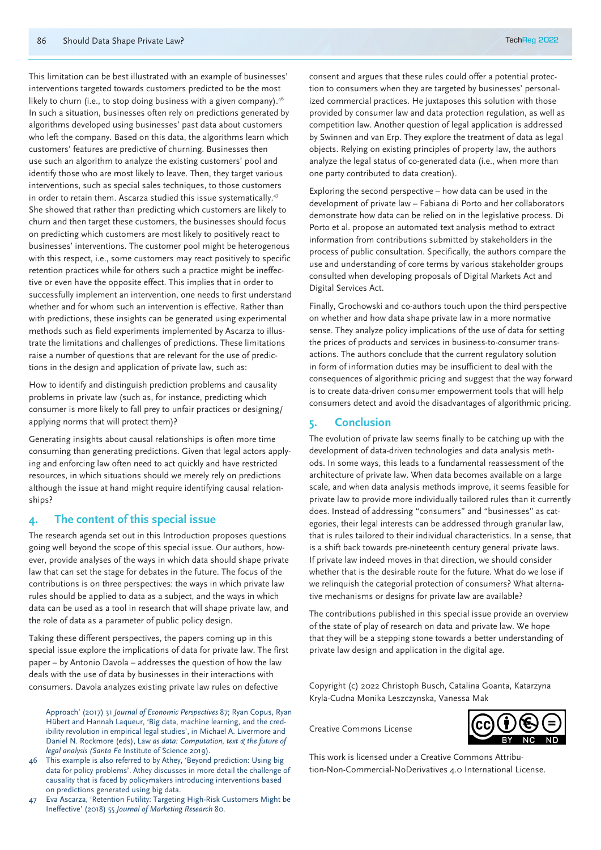This limitation can be best illustrated with an example of businesses' interventions targeted towards customers predicted to be the most likely to churn (i.e., to stop doing business with a given company).<sup>46</sup> In such a situation, businesses often rely on predictions generated by algorithms developed using businesses' past data about customers who left the company. Based on this data, the algorithms learn which customers' features are predictive of churning. Businesses then use such an algorithm to analyze the existing customers' pool and identify those who are most likely to leave. Then, they target various interventions, such as special sales techniques, to those customers in order to retain them. Ascarza studied this issue systematically.47 She showed that rather than predicting which customers are likely to churn and then target these customers, the businesses should focus on predicting which customers are most likely to positively react to businesses' interventions. The customer pool might be heterogenous with this respect, i.e., some customers may react positively to specific retention practices while for others such a practice might be ineffective or even have the opposite effect. This implies that in order to successfully implement an intervention, one needs to first understand whether and for whom such an intervention is effective. Rather than with predictions, these insights can be generated using experimental methods such as field experiments implemented by Ascarza to illustrate the limitations and challenges of predictions. These limitations raise a number of questions that are relevant for the use of predictions in the design and application of private law, such as:

How to identify and distinguish prediction problems and causality problems in private law (such as, for instance, predicting which consumer is more likely to fall prey to unfair practices or designing/ applying norms that will protect them)?

Generating insights about causal relationships is often more time consuming than generating predictions. Given that legal actors applying and enforcing law often need to act quickly and have restricted resources, in which situations should we merely rely on predictions although the issue at hand might require identifying causal relationships?

#### **4. The content of this special issue**

The research agenda set out in this Introduction proposes questions going well beyond the scope of this special issue. Our authors, however, provide analyses of the ways in which data should shape private law that can set the stage for debates in the future. The focus of the contributions is on three perspectives: the ways in which private law rules should be applied to data as a subject, and the ways in which data can be used as a tool in research that will shape private law, and the role of data as a parameter of public policy design.

Taking these different perspectives, the papers coming up in this special issue explore the implications of data for private law. The first paper – by Antonio Davola – addresses the question of how the law deals with the use of data by businesses in their interactions with consumers. Davola analyzes existing private law rules on defective

Approach' (2017) 31 *Journal of Economic Perspectives* 87; Ryan Copus, Ryan Hübert and Hannah Laqueur, 'Big data, machine learning, and the credibility revolution in empirical legal studies', in Michael A. Livermore and Daniel N. Rockmore (eds), Law *as data: Computation, text & the future of legal analysis (Santa F*e Institute of Science 2019).

46 This example is also referred to by Athey, 'Beyond prediction: Using big data for policy problems'. Athey discusses in more detail the challenge of causality that is faced by policymakers introducing interventions based on predictions generated using big data.

47 Eva Ascarza, 'Retention Futility: Targeting High-Risk Customers Might be Ineffective' (2018) 55 *Journal of Marketing Research* 80.

consent and argues that these rules could offer a potential protection to consumers when they are targeted by businesses' personalized commercial practices. He juxtaposes this solution with those provided by consumer law and data protection regulation, as well as competition law. Another question of legal application is addressed by Swinnen and van Erp. They explore the treatment of data as legal objects. Relying on existing principles of property law, the authors analyze the legal status of co-generated data (i.e., when more than one party contributed to data creation).

Exploring the second perspective – how data can be used in the development of private law – Fabiana di Porto and her collaborators demonstrate how data can be relied on in the legislative process. Di Porto et al. propose an automated text analysis method to extract information from contributions submitted by stakeholders in the process of public consultation. Specifically, the authors compare the use and understanding of core terms by various stakeholder groups consulted when developing proposals of Digital Markets Act and Digital Services Act.

Finally, Grochowski and co-authors touch upon the third perspective on whether and how data shape private law in a more normative sense. They analyze policy implications of the use of data for setting the prices of products and services in business-to-consumer transactions. The authors conclude that the current regulatory solution in form of information duties may be insufficient to deal with the consequences of algorithmic pricing and suggest that the way forward is to create data-driven consumer empowerment tools that will help consumers detect and avoid the disadvantages of algorithmic pricing.

#### **5. Conclusion**

The evolution of private law seems finally to be catching up with the development of data-driven technologies and data analysis methods. In some ways, this leads to a fundamental reassessment of the architecture of private law. When data becomes available on a large scale, and when data analysis methods improve, it seems feasible for private law to provide more individually tailored rules than it currently does. Instead of addressing "consumers" and "businesses" as categories, their legal interests can be addressed through granular law, that is rules tailored to their individual characteristics. In a sense, that is a shift back towards pre-nineteenth century general private laws. If private law indeed moves in that direction, we should consider whether that is the desirable route for the future. What do we lose if we relinquish the categorial protection of consumers? What alternative mechanisms or designs for private law are available?

The contributions published in this special issue provide an overview of the state of play of research on data and private law. We hope that they will be a stepping stone towards a better understanding of private law design and application in the digital age.

Copyright (c) 2022 Christoph Busch, Catalina Goanta, Katarzyna Kryla-Cudna Monika Leszczynska, Vanessa Mak

Creative Commons License



This work is licensed under a Creative Commons Attribution-Non-Commercial-NoDerivatives 4.0 International License.